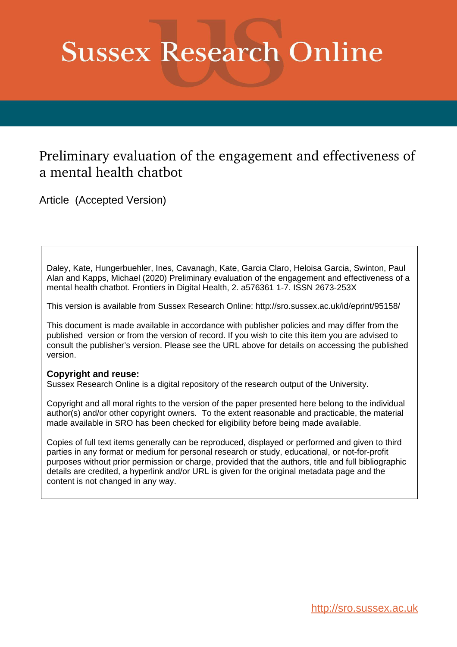# **Sussex Research Online**

# Preliminary evaluation of the engagement and effectiveness of a mental health chatbot

Article (Accepted Version)

Daley, Kate, Hungerbuehler, Ines, Cavanagh, Kate, Garcia Claro, Heloisa Garcia, Swinton, Paul Alan and Kapps, Michael (2020) Preliminary evaluation of the engagement and effectiveness of a mental health chatbot. Frontiers in Digital Health, 2. a576361 1-7. ISSN 2673-253X

This version is available from Sussex Research Online: http://sro.sussex.ac.uk/id/eprint/95158/

This document is made available in accordance with publisher policies and may differ from the published version or from the version of record. If you wish to cite this item you are advised to consult the publisher's version. Please see the URL above for details on accessing the published version.

# **Copyright and reuse:**

Sussex Research Online is a digital repository of the research output of the University.

Copyright and all moral rights to the version of the paper presented here belong to the individual author(s) and/or other copyright owners. To the extent reasonable and practicable, the material made available in SRO has been checked for eligibility before being made available.

Copies of full text items generally can be reproduced, displayed or performed and given to third parties in any format or medium for personal research or study, educational, or not-for-profit purposes without prior permission or charge, provided that the authors, title and full bibliographic details are credited, a hyperlink and/or URL is given for the original metadata page and the content is not changed in any way.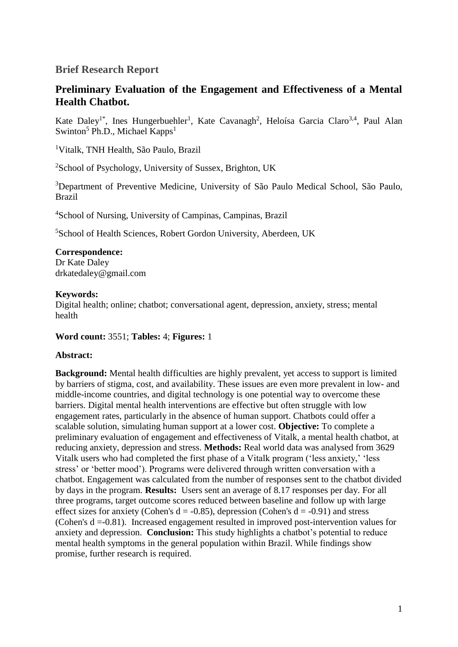# **Brief Research Report**

# **Preliminary Evaluation of the Engagement and Effectiveness of a Mental Health Chatbot.**

Kate Daley<sup>1\*</sup>, Ines Hungerbuehler<sup>1</sup>, Kate Cavanagh<sup>2</sup>, Heloísa Garcia Claro<sup>3,4</sup>, Paul Alan Swinton<sup>5</sup> Ph.D., Michael Kapps<sup>1</sup>

<sup>1</sup>Vitalk, TNH Health, São Paulo, Brazil

<sup>2</sup>School of Psychology, University of Sussex, Brighton, UK

<sup>3</sup>Department of Preventive Medicine, University of São Paulo Medical School, São Paulo, Brazil

<sup>4</sup>School of Nursing, University of Campinas, Campinas, Brazil

<sup>5</sup>School of Health Sciences, Robert Gordon University, Aberdeen, UK

#### **Correspondence:**

Dr Kate Daley drkatedaley@gmail.com

#### **Keywords:**

Digital health; online; chatbot; conversational agent, depression, anxiety, stress; mental health

**Word count:** 3551; **Tables:** 4; **Figures:** 1

# **Abstract:**

**Background:** Mental health difficulties are highly prevalent, yet access to support is limited by barriers of stigma, cost, and availability. These issues are even more prevalent in low- and middle-income countries, and digital technology is one potential way to overcome these barriers. Digital mental health interventions are effective but often struggle with low engagement rates, particularly in the absence of human support. Chatbots could offer a scalable solution, simulating human support at a lower cost. **Objective:** To complete a preliminary evaluation of engagement and effectiveness of Vitalk, a mental health chatbot, at reducing anxiety, depression and stress. **Methods:** Real world data was analysed from 3629 Vitalk users who had completed the first phase of a Vitalk program ('less anxiety,' 'less stress' or 'better mood'). Programs were delivered through written conversation with a chatbot. Engagement was calculated from the number of responses sent to the chatbot divided by days in the program. **Results:** Users sent an average of 8.17 responses per day. For all three programs, target outcome scores reduced between baseline and follow up with large effect sizes for anxiety (Cohen's  $d = -0.85$ ), depression (Cohen's  $d = -0.91$ ) and stress (Cohen's d =-0.81). Increased engagement resulted in improved post-intervention values for anxiety and depression. **Conclusion:** This study highlights a chatbot's potential to reduce mental health symptoms in the general population within Brazil. While findings show promise, further research is required.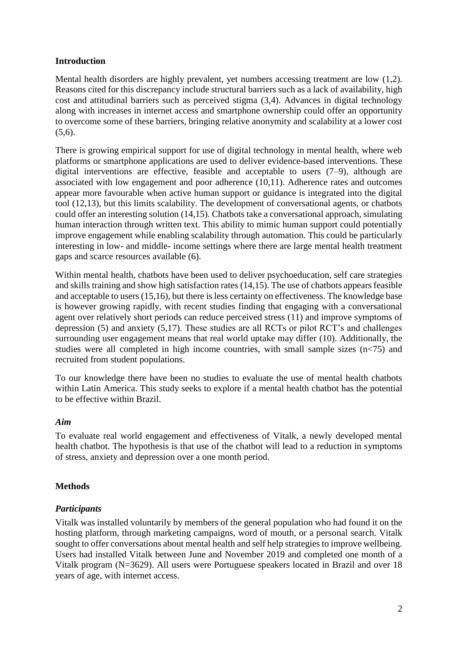# **Introduction**

Mental health disorders are highly prevalent, yet numbers accessing treatment are low [\(1,2\).](https://paperpile.com/c/rjTfzQ/qmKhS+vxBL) Reasons cited for this discrepancy include structural barriers such as a lack of availability, high cost and attitudinal barriers such as perceived stigma [\(3,4\).](https://paperpile.com/c/rjTfzQ/Q8WAx+hufY) Advances in digital technology along with increases in internet access and smartphone ownership could offer an opportunity to overcome some of these barriers, bringing relative anonymity and scalability at a lower cost [\(5,6\).](https://paperpile.com/c/rjTfzQ/9FqEa+1OKA)

There is growing empirical support for use of digital technology in mental health, where web platforms or smartphone applications are used to deliver evidence-based interventions. These digital interventions are effective, feasible and acceptable to users [\(7–9\),](https://paperpile.com/c/rjTfzQ/FqdN5+zzsv8+fFkz) although are associated with low engagement and poor adherence [\(10,11\).](https://paperpile.com/c/rjTfzQ/5e5KF+W7zPh) Adherence rates and outcomes appear more favourable when active human support or guidance is integrated into the digital tool [\(12,13\),](https://paperpile.com/c/rjTfzQ/eA2pW+GETa) but this limits scalability. The development of conversational agents, or chatbots could offer an interesting solution [\(14,15\).](https://paperpile.com/c/rjTfzQ/faoRi+1qBdA) Chatbots take a conversational approach, simulating human interaction through written text. This ability to mimic human support could potentially improve engagement while enabling scalability through automation. This could be particularly interesting in low- and middle- income settings where there are large mental health treatment gaps and scarce resources available [\(6\).](https://paperpile.com/c/rjTfzQ/1OKA)

Within mental health, chatbots have been used to deliver psychoeducation, self care strategies and skills training and show high satisfaction rates [\(14,15\).](https://paperpile.com/c/rjTfzQ/1qBdA+faoRi) The use of chatbots appears feasible and acceptable to user[s \(15,16\),](https://paperpile.com/c/rjTfzQ/qttEa+1qBdA) but there is less certainty on effectiveness. The knowledge base is however growing rapidly, with recent studies finding that engaging with a conversational agent over relatively short periods can reduce perceived stress [\(11\)](https://paperpile.com/c/rjTfzQ/W7zPh) and improve symptoms of depression [\(5\)](https://paperpile.com/c/rjTfzQ/9FqEa) and anxiety [\(5,17\).](https://paperpile.com/c/rjTfzQ/9FqEa+zBGgB) These studies are all RCTs or pilot RCT's and challenges surrounding user engagement means that real world uptake may differ [\(10\).](https://paperpile.com/c/rjTfzQ/5e5KF) Additionally, the studies were all completed in high income countries, with small sample sizes (n<75) and recruited from student populations.

To our knowledge there have been no studies to evaluate the use of mental health chatbots within Latin America. This study seeks to explore if a mental health chatbot has the potential to be effective within Brazil.

#### *Aim*

To evaluate real world engagement and effectiveness of Vitalk, a newly developed mental health chatbot. The hypothesis is that use of the chatbot will lead to a reduction in symptoms of stress, anxiety and depression over a one month period.

# **Methods**

# *Participants*

Vitalk was installed voluntarily by members of the general population who had found it on the hosting platform, through marketing campaigns, word of mouth, or a personal search. Vitalk sought to offer conversations about mental health and self help strategies to improve wellbeing. Users had installed Vitalk between June and November 2019 and completed one month of a Vitalk program (N=3629). All users were Portuguese speakers located in Brazil and over 18 years of age, with internet access.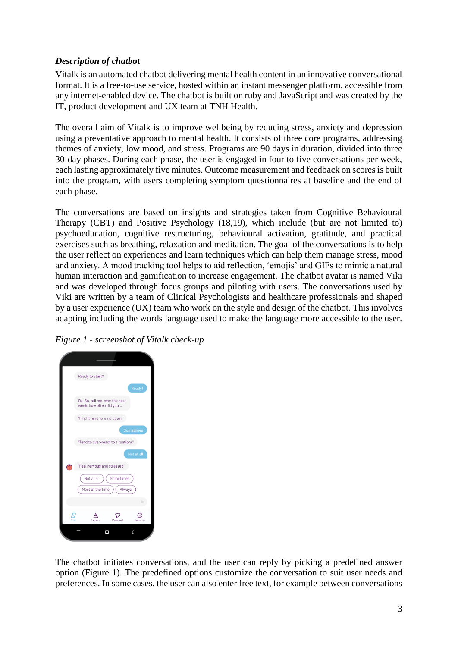# *Description of chatbot*

Vitalk is an automated chatbot delivering mental health content in an innovative conversational format. It is a free-to-use service, hosted within an instant messenger platform, accessible from any internet-enabled device. The chatbot is built on ruby and JavaScript and was created by the IT, product development and UX team at TNH Health.

The overall aim of Vitalk is to improve wellbeing by reducing stress, anxiety and depression using a preventative approach to mental health. It consists of three core programs, addressing themes of anxiety, low mood, and stress. Programs are 90 days in duration, divided into three 30-day phases. During each phase, the user is engaged in four to five conversations per week, each lasting approximately five minutes. Outcome measurement and feedback on scores is built into the program, with users completing symptom questionnaires at baseline and the end of each phase.

The conversations are based on insights and strategies taken from Cognitive Behavioural Therapy (CBT) and Positive Psychology [\(18,19\),](https://paperpile.com/c/rjTfzQ/xps6t+vuFMr) which include (but are not limited to) psychoeducation, cognitive restructuring, behavioural activation, gratitude, and practical exercises such as breathing, relaxation and meditation. The goal of the conversations is to help the user reflect on experiences and learn techniques which can help them manage stress, mood and anxiety. A mood tracking tool helps to aid reflection, 'emojis' and GIFs to mimic a natural human interaction and gamification to increase engagement. The chatbot avatar is named Viki and was developed through focus groups and piloting with users. The conversations used by Viki are written by a team of Clinical Psychologists and healthcare professionals and shaped by a user experience (UX) team who work on the style and design of the chatbot. This involves adapting including the words language used to make the language more accessible to the user.

| Ready to start?                                           |                                    |
|-----------------------------------------------------------|------------------------------------|
|                                                           | Ready!                             |
| Ok. So, tell me, over the past<br>week, how often did you |                                    |
| "Find it hard to wind down"                               |                                    |
|                                                           | <b>Sometimes</b>                   |
|                                                           | "Tend to over-react to situations" |
|                                                           | Not at all                         |
| "Feel nervous and stressed"                               |                                    |
| Not at all                                                | Sometimes                          |
| Most of the time                                          | Always                             |
|                                                           |                                    |
| Explore                                                   | Jennifer<br>Personal               |
|                                                           |                                    |

*Figure 1 - screenshot of Vitalk check-up*

The chatbot initiates conversations, and the user can reply by picking a predefined answer option (Figure 1). The predefined options customize the conversation to suit user needs and preferences. In some cases, the user can also enter free text, for example between conversations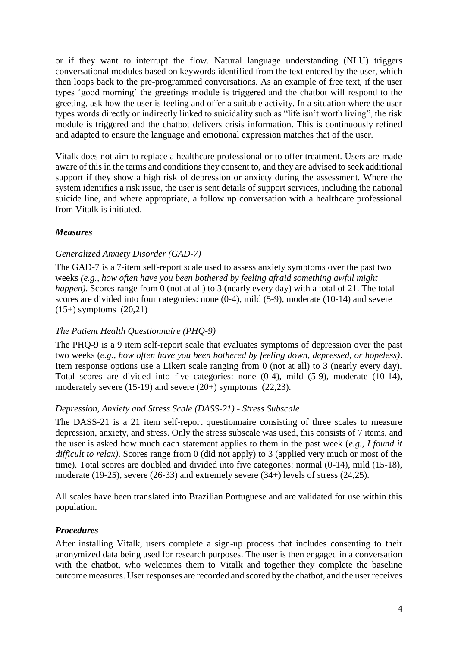or if they want to interrupt the flow. Natural language understanding (NLU) triggers conversational modules based on keywords identified from the text entered by the user, which then loops back to the pre-programmed conversations. As an example of free text, if the user types 'good morning' the greetings module is triggered and the chatbot will respond to the greeting, ask how the user is feeling and offer a suitable activity. In a situation where the user types words directly or indirectly linked to suicidality such as "life isn't worth living", the risk module is triggered and the chatbot delivers crisis information. This is continuously refined and adapted to ensure the language and emotional expression matches that of the user.

Vitalk does not aim to replace a healthcare professional or to offer treatment. Users are made aware of this in the terms and conditions they consent to, and they are advised to seek additional support if they show a high risk of depression or anxiety during the assessment. Where the system identifies a risk issue, the user is sent details of support services, including the national suicide line, and where appropriate, a follow up conversation with a healthcare professional from Vitalk is initiated.

# *Measures*

#### *Generalized Anxiety Disorder (GAD-7)*

The GAD-7 is a 7-item self-report scale used to assess anxiety symptoms over the past two weeks *(e.g., how often have you been bothered by feeling afraid something awful might happen)*. Scores range from 0 (not at all) to 3 (nearly every day) with a total of 21. The total scores are divided into four categories: none (0-4), mild (5-9), moderate (10-14) and severe (15+) symptoms [\(20,21\)](https://paperpile.com/c/rjTfzQ/IDecf+7OeG)

# *The Patient Health Questionnaire (PHQ-9)*

The PHQ-9 is a 9 item self-report scale that evaluates symptoms of depression over the past two weeks (*e.g., how often have you been bothered by feeling down, depressed, or hopeless)*. Item response options use a Likert scale ranging from 0 (not at all) to 3 (nearly every day). Total scores are divided into five categories: none (0-4), mild (5-9), moderate (10-14), moderately severe (15-19) and severe (20+) symptoms [\(22,23\).](https://paperpile.com/c/rjTfzQ/aAE4W+0Qr9)

#### *Depression, Anxiety and Stress Scale (DASS-21) - Stress Subscale*

The DASS-21 is a 21 item self-report questionnaire consisting of three scales to measure depression, anxiety, and stress. Only the stress subscale was used, this consists of 7 items, and the user is asked how much each statement applies to them in the past week (*e.g., I found it difficult to relax)*. Scores range from 0 (did not apply) to 3 (applied very much or most of the time). Total scores are doubled and divided into five categories: normal (0-14), mild (15-18), moderate (19-25), severe (26-33) and extremely severe (34+) levels of stress [\(24,25\).](https://paperpile.com/c/rjTfzQ/E09tp+eThe)

All scales have been translated into Brazilian Portuguese and are validated for use within this population.

#### *Procedures*

After installing Vitalk, users complete a sign-up process that includes consenting to their anonymized data being used for research purposes. The user is then engaged in a conversation with the chatbot, who welcomes them to Vitalk and together they complete the baseline outcome measures. User responses are recorded and scored by the chatbot, and the user receives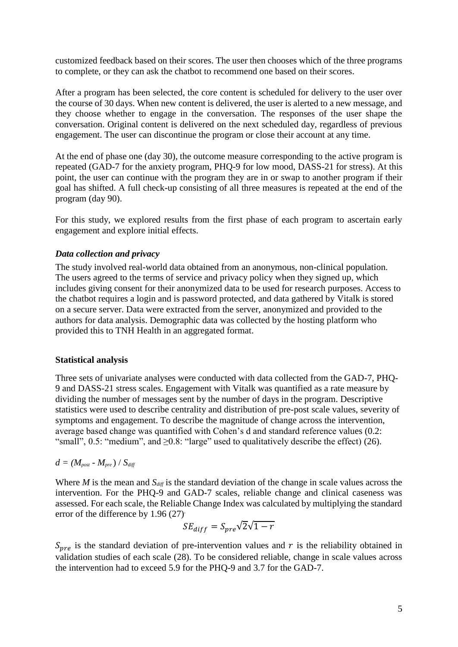customized feedback based on their scores. The user then chooses which of the three programs to complete, or they can ask the chatbot to recommend one based on their scores.

After a program has been selected, the core content is scheduled for delivery to the user over the course of 30 days. When new content is delivered, the user is alerted to a new message, and they choose whether to engage in the conversation. The responses of the user shape the conversation. Original content is delivered on the next scheduled day, regardless of previous engagement. The user can discontinue the program or close their account at any time.

At the end of phase one (day 30), the outcome measure corresponding to the active program is repeated (GAD-7 for the anxiety program, PHQ-9 for low mood, DASS-21 for stress). At this point, the user can continue with the program they are in or swap to another program if their goal has shifted. A full check-up consisting of all three measures is repeated at the end of the program (day 90).

For this study, we explored results from the first phase of each program to ascertain early engagement and explore initial effects.

#### *Data collection and privacy*

The study involved real-world data obtained from an anonymous, non-clinical population. The users agreed to the terms of service and privacy policy when they signed up, which includes giving consent for their anonymized data to be used for research purposes. Access to the chatbot requires a login and is password protected, and data gathered by Vitalk is stored on a secure server. Data were extracted from the server, anonymized and provided to the authors for data analysis. Demographic data was collected by the hosting platform who provided this to TNH Health in an aggregated format.

#### **Statistical analysis**

Three sets of univariate analyses were conducted with data collected from the GAD-7, PHQ-9 and DASS-21 stress scales. Engagement with Vitalk was quantified as a rate measure by dividing the number of messages sent by the number of days in the program. Descriptive statistics were used to describe centrality and distribution of pre-post scale values, severity of symptoms and engagement. To describe the magnitude of change across the intervention, average based change was quantified with Cohen's d and standard reference values (0.2: "small", 0.5: "medium", and  $\geq 0.8$ : "large" used to qualitatively describe the effect) [\(26\).](https://paperpile.com/c/rjTfzQ/YE7WA)

$$
d = (M_{post} - M_{pre}) / S_{diff}
$$

Where  $M$  is the mean and  $S_{\text{diff}}$  is the standard deviation of the change in scale values across the intervention. For the PHQ-9 and GAD-7 scales, reliable change and clinical caseness was assessed. For each scale, the Reliable Change Index was calculated by multiplying the standard error of the difference by 1.96 [\(27\)](https://paperpile.com/c/rjTfzQ/YBve).

$$
SE_{diff} = S_{pre} \sqrt{2\sqrt{1 - r}}
$$

 $S_{\text{pre}}$  is the standard deviation of pre-intervention values and r is the reliability obtained in validation studies of each scale [\(28\).](https://paperpile.com/c/rjTfzQ/plET) To be considered reliable, change in scale values across the intervention had to exceed 5.9 for the PHQ-9 and 3.7 for the GAD-7.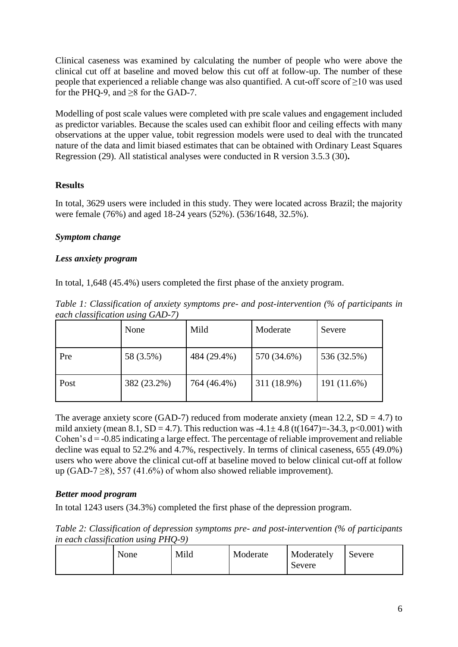Clinical caseness was examined by calculating the number of people who were above the clinical cut off at baseline and moved below this cut off at follow-up. The number of these people that experienced a reliable change was also quantified. A cut-off score of ≥10 was used for the PHQ-9, and ≥8 for the GAD-7.

Modelling of post scale values were completed with pre scale values and engagement included as predictor variables. Because the scales used can exhibit floor and ceiling effects with many observations at the upper value, tobit regression models were used to deal with the truncated nature of the data and limit biased estimates that can be obtained with Ordinary Least Squares Regression [\(29\).](https://paperpile.com/c/rjTfzQ/l1j1y) All statistical analyses were conducted in R version 3.5.3 [\(30\)](https://paperpile.com/c/rjTfzQ/SAieA)**.**

# **Results**

In total, 3629 users were included in this study. They were located across Brazil; the majority were female (76%) and aged 18-24 years (52%). (536/1648, 32.5%).

# *Symptom change*

# *Less anxiety program*

In total, 1,648 (45.4%) users completed the first phase of the anxiety program.

*Table 1: Classification of anxiety symptoms pre- and post-intervention (% of participants in each classification using GAD-7)*

|      | None        | Mild        | Moderate    | Severe      |
|------|-------------|-------------|-------------|-------------|
| Pre  | 58 (3.5%)   | 484 (29.4%) | 570 (34.6%) | 536 (32.5%) |
| Post | 382 (23.2%) | 764 (46.4%) | 311 (18.9%) | 191 (11.6%) |

The average anxiety score (GAD-7) reduced from moderate anxiety (mean 12.2,  $SD = 4.7$ ) to mild anxiety (mean 8.1, SD = 4.7). This reduction was  $-4.1 \pm 4.8$  (t(1647) =  $-34.3$ , p $< 0.001$ ) with Cohen's  $d = -0.85$  indicating a large effect. The percentage of reliable improvement and reliable decline was equal to 52.2% and 4.7%, respectively. In terms of clinical caseness, 655 (49.0%) users who were above the clinical cut-off at baseline moved to below clinical cut-off at follow up (GAD-7 $\ge$ 8), 557 (41.6%) of whom also showed reliable improvement).

# *Better mood program*

In total 1243 users (34.3%) completed the first phase of the depression program.

*Table 2: Classification of depression symptoms pre- and post-intervention (% of participants in each classification using PHQ-9)*

|--|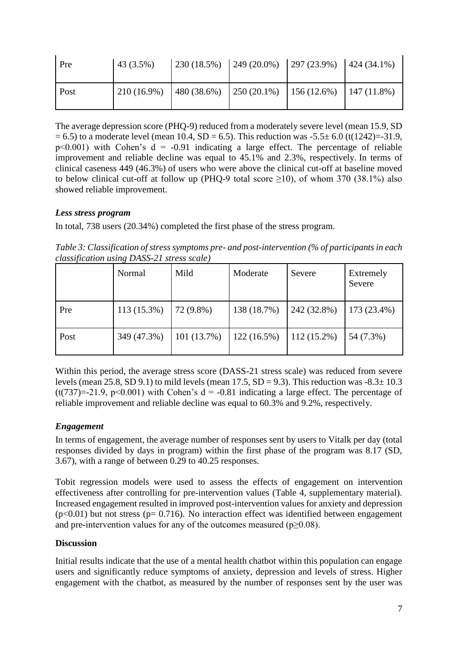| Pre  | $43(3.5\%)$ | $\vert$ 230 (18.5%) $\vert$ 249 (20.0%) $\vert$ 297 (23.9%) $\vert$ 424 (34.1%)                     |  |
|------|-------------|-----------------------------------------------------------------------------------------------------|--|
| Post |             | $\vert$ 210 (16.9%) $\vert$ 480 (38.6%) $\vert$ 250 (20.1%) $\vert$ 156 (12.6%) $\vert$ 147 (11.8%) |  |

The average depression score (PHQ-9) reduced from a moderately severe level (mean 15.9, SD  $= 6.5$ ) to a moderate level (mean 10.4, SD = 6.5). This reduction was  $-5.5\pm 6.0$  (t(1242)= $-31.9$ ,  $p<0.001$ ) with Cohen's  $d = -0.91$  indicating a large effect. The percentage of reliable improvement and reliable decline was equal to 45.1% and 2.3%, respectively. In terms of clinical caseness 449 (46.3%) of users who were above the clinical cut-off at baseline moved to below clinical cut-off at follow up (PHQ-9 total score  $\geq$ 10), of whom 370 (38.1%) also showed reliable improvement.

# *Less stress program*

In total, 738 users (20.34%) completed the first phase of the stress program.

*Table 3: Classification of stress symptoms pre- and post-intervention (% of participants in each classification using DASS-21 stress scale)*

|      | Normal      | Mild       | Moderate      | Severe        | Extremely<br>Severe |
|------|-------------|------------|---------------|---------------|---------------------|
| Pre  | 113 (15.3%) | 72 (9.8%)  | 138 (18.7%)   | 242 (32.8%)   | 173 (23.4%)         |
| Post | 349 (47.3%) | 101(13.7%) | $122(16.5\%)$ | $112(15.2\%)$ | 54 (7.3%)           |

Within this period, the average stress score (DASS-21 stress scale) was reduced from severe levels (mean 25.8, SD 9.1) to mild levels (mean 17.5, SD = 9.3). This reduction was  $-8.3\pm10.3$  $(t(737)=21.9, p<0.001)$  with Cohen's  $d = -0.81$  indicating a large effect. The percentage of reliable improvement and reliable decline was equal to 60.3% and 9.2%, respectively.

# *Engagement*

In terms of engagement, the average number of responses sent by users to Vitalk per day (total responses divided by days in program) within the first phase of the program was 8.17 (SD, 3.67), with a range of between 0.29 to 40.25 responses.

Tobit regression models were used to assess the effects of engagement on intervention effectiveness after controlling for pre-intervention values (Table 4, supplementary material). Increased engagement resulted in improved post-intervention values for anxiety and depression  $(p<0.01)$  but not stress ( $p= 0.716$ ). No interaction effect was identified between engagement and pre-intervention values for any of the outcomes measured ( $p\geq 0.08$ ).

# **Discussion**

Initial results indicate that the use of a mental health chatbot within this population can engage users and significantly reduce symptoms of anxiety, depression and levels of stress. Higher engagement with the chatbot, as measured by the number of responses sent by the user was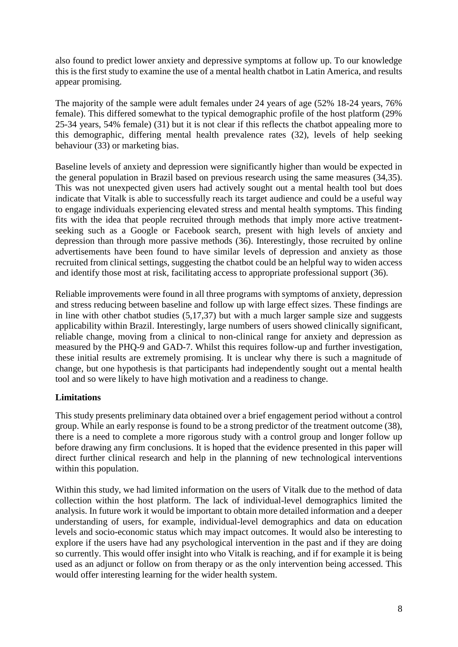also found to predict lower anxiety and depressive symptoms at follow up. To our knowledge this is the first study to examine the use of a mental health chatbot in Latin America, and results appear promising.

The majority of the sample were adult females under 24 years of age (52% 18-24 years, 76% female). This differed somewhat to the typical demographic profile of the host platform (29% 25-34 years, 54% female) [\(31\)](https://paperpile.com/c/rjTfzQ/jxlVO) but it is not clear if this reflects the chatbot appealing more to this demographic, differing mental health prevalence rates [\(32\),](https://paperpile.com/c/rjTfzQ/h1fSX) levels of help seeking behaviour [\(33\)](https://paperpile.com/c/rjTfzQ/55XWS) or marketing bias.

Baseline levels of anxiety and depression were significantly higher than would be expected in the general population in Brazil based on previous research using the same measures [\(34,35\).](https://paperpile.com/c/rjTfzQ/zNq7k+p4vLu) This was not unexpected given users had actively sought out a mental health tool but does indicate that Vitalk is able to successfully reach its target audience and could be a useful way to engage individuals experiencing elevated stress and mental health symptoms. This finding fits with the idea that people recruited through methods that imply more active treatmentseeking such as a Google or Facebook search, present with high levels of anxiety and depression than through more passive methods [\(36\).](https://paperpile.com/c/rjTfzQ/NPty) Interestingly, those recruited by online advertisements have been found to have similar levels of depression and anxiety as those recruited from clinical settings, suggesting the chatbot could be an helpful way to widen access and identify those most at risk, facilitating access to appropriate professional support [\(36\).](https://paperpile.com/c/rjTfzQ/NPty)

Reliable improvements were found in all three programs with symptoms of anxiety, depression and stress reducing between baseline and follow up with large effect sizes. These findings are in line with other chatbot studies [\(5,17,37\)](https://paperpile.com/c/rjTfzQ/UUThQ+zBGgB+9FqEa) but with a much larger sample size and suggests applicability within Brazil. Interestingly, large numbers of users showed clinically significant, reliable change, moving from a clinical to non-clinical range for anxiety and depression as measured by the PHQ-9 and GAD-7. Whilst this requires follow-up and further investigation, these initial results are extremely promising. It is unclear why there is such a magnitude of change, but one hypothesis is that participants had independently sought out a mental health tool and so were likely to have high motivation and a readiness to change.

# **Limitations**

This study presents preliminary data obtained over a brief engagement period without a control group. While an early response is found to be a strong predictor of the treatment outcome [\(38\),](https://paperpile.com/c/rjTfzQ/vYoNK) there is a need to complete a more rigorous study with a control group and longer follow up before drawing any firm conclusions. It is hoped that the evidence presented in this paper will direct further clinical research and help in the planning of new technological interventions within this population.

Within this study, we had limited information on the users of Vitalk due to the method of data collection within the host platform. The lack of individual-level demographics limited the analysis. In future work it would be important to obtain more detailed information and a deeper understanding of users, for example, individual-level demographics and data on education levels and socio-economic status which may impact outcomes. It would also be interesting to explore if the users have had any psychological intervention in the past and if they are doing so currently. This would offer insight into who Vitalk is reaching, and if for example it is being used as an adjunct or follow on from therapy or as the only intervention being accessed. This would offer interesting learning for the wider health system.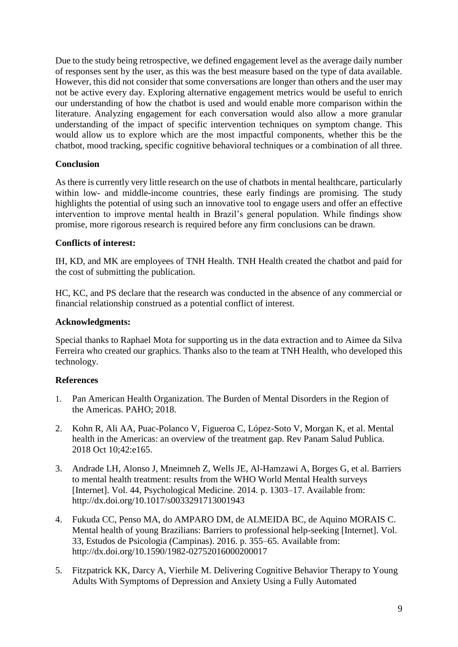Due to the study being retrospective, we defined engagement level as the average daily number of responses sent by the user, as this was the best measure based on the type of data available. However, this did not consider that some conversations are longer than others and the user may not be active every day. Exploring alternative engagement metrics would be useful to enrich our understanding of how the chatbot is used and would enable more comparison within the literature. Analyzing engagement for each conversation would also allow a more granular understanding of the impact of specific intervention techniques on symptom change. This would allow us to explore which are the most impactful components, whether this be the chatbot, mood tracking, specific cognitive behavioral techniques or a combination of all three.

# **Conclusion**

As there is currently very little research on the use of chatbots in mental healthcare, particularly within low- and middle-income countries, these early findings are promising. The study highlights the potential of using such an innovative tool to engage users and offer an effective intervention to improve mental health in Brazil's general population. While findings show promise, more rigorous research is required before any firm conclusions can be drawn.

# **Conflicts of interest:**

IH, KD, and MK are employees of TNH Health. TNH Health created the chatbot and paid for the cost of submitting the publication.

HC, KC, and PS declare that the research was conducted in the absence of any commercial or financial relationship construed as a potential conflict of interest.

# **Acknowledgments:**

Special thanks to Raphael Mota for supporting us in the data extraction and to Aimee da Silva Ferreira who created our graphics. Thanks also to the team at TNH Health, who developed this technology.

# **References**

- 1. [Pan American Health Organization. The Burden of Mental Disorders in the Region of](http://paperpile.com/b/rjTfzQ/qmKhS)  [the Americas. PAHO; 2018.](http://paperpile.com/b/rjTfzQ/qmKhS)
- 2. [Kohn R, Ali AA, Puac-Polanco V, Figueroa C, López-Soto V, Morgan K, et al. Mental](http://paperpile.com/b/rjTfzQ/vxBL)  [health in the Americas: an overview of the treatment gap. Rev Panam Salud Publica.](http://paperpile.com/b/rjTfzQ/vxBL)  [2018 Oct 10;42:e165.](http://paperpile.com/b/rjTfzQ/vxBL)
- 3. [Andrade LH, Alonso J, Mneimneh Z, Wells JE, Al-Hamzawi A, Borges G, et al. Barriers](http://paperpile.com/b/rjTfzQ/Q8WAx)  [to mental health treatment: results from the WHO World Mental Health surveys](http://paperpile.com/b/rjTfzQ/Q8WAx)  [\[Internet\]. Vol. 44, Psychological Medicine. 2014. p. 1303–17. Available from:](http://paperpile.com/b/rjTfzQ/Q8WAx)  <http://dx.doi.org/10.1017/s0033291713001943>
- 4. [Fukuda CC, Penso MA, do AMPARO DM, de ALMEIDA BC, de Aquino MORAIS C.](http://paperpile.com/b/rjTfzQ/hufY)  [Mental health of young Brazilians: Barriers to professional help-seeking \[Internet\]. Vol.](http://paperpile.com/b/rjTfzQ/hufY)  [33, Estudos de Psicologia \(Campinas\). 2016. p. 355–65. Available from:](http://paperpile.com/b/rjTfzQ/hufY)  <http://dx.doi.org/10.1590/1982-02752016000200017>
- 5. [Fitzpatrick KK, Darcy A, Vierhile M. Delivering Cognitive Behavior Therapy to Young](http://paperpile.com/b/rjTfzQ/9FqEa)  [Adults With Symptoms of Depression and Anxiety Using a Fully Automated](http://paperpile.com/b/rjTfzQ/9FqEa)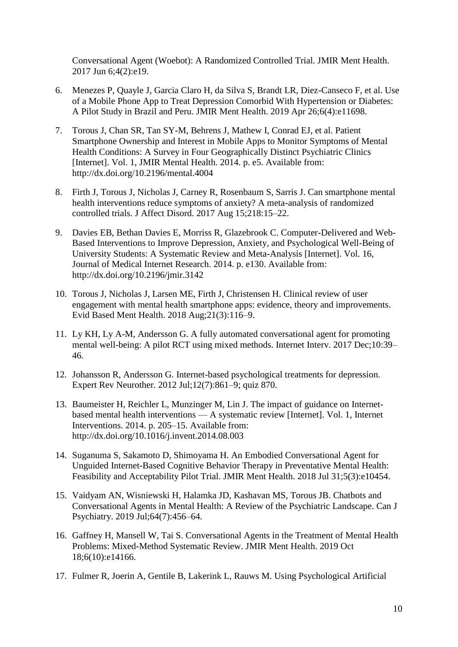[Conversational Agent \(Woebot\): A Randomized Controlled Trial. JMIR Ment Health.](http://paperpile.com/b/rjTfzQ/9FqEa)  [2017 Jun 6;4\(2\):e19.](http://paperpile.com/b/rjTfzQ/9FqEa)

- 6. [Menezes P, Quayle J, Garcia Claro H, da Silva S, Brandt LR, Diez-Canseco F, et al. Use](http://paperpile.com/b/rjTfzQ/1OKA)  [of a Mobile Phone App to Treat Depression Comorbid With Hypertension or Diabetes:](http://paperpile.com/b/rjTfzQ/1OKA)  A Pilot Study in Brazil and Peru. [JMIR Ment Health. 2019 Apr 26;6\(4\):e11698.](http://paperpile.com/b/rjTfzQ/1OKA)
- 7. [Torous J, Chan SR, Tan SY-M, Behrens J, Mathew I, Conrad EJ, et al. Patient](http://paperpile.com/b/rjTfzQ/FqdN5)  [Smartphone Ownership and Interest in Mobile Apps to Monitor Symptoms of Mental](http://paperpile.com/b/rjTfzQ/FqdN5)  [Health Conditions: A Survey in Four Geographically Distinct Psychiatric Clinics](http://paperpile.com/b/rjTfzQ/FqdN5)  [\[Internet\]. Vol. 1, JMIR Mental Health. 2014. p. e5. Available from:](http://paperpile.com/b/rjTfzQ/FqdN5)  <http://dx.doi.org/10.2196/mental.4004>
- 8. [Firth J, Torous J, Nicholas J, Carney R, Rosenbaum S, Sarris J. Can smartphone mental](http://paperpile.com/b/rjTfzQ/zzsv8)  [health interventions reduce symptoms of anxiety? A meta-analysis of randomized](http://paperpile.com/b/rjTfzQ/zzsv8)  [controlled trials. J Affect Disord. 2017 Aug 15;218:15–22.](http://paperpile.com/b/rjTfzQ/zzsv8)
- 9. [Davies EB, Bethan Davies E, Morriss R, Glazebrook C. Computer-Delivered and Web-](http://paperpile.com/b/rjTfzQ/fFkz)[Based Interventions to Improve Depression, Anxiety, and Psychological Well-Being of](http://paperpile.com/b/rjTfzQ/fFkz)  [University Students: A Systematic Review and Meta-Analysis \[Internet\]. Vol. 16,](http://paperpile.com/b/rjTfzQ/fFkz)  [Journal of Medical Internet Research. 2014. p. e130. Available from:](http://paperpile.com/b/rjTfzQ/fFkz)  <http://dx.doi.org/10.2196/jmir.3142>
- 10. [Torous J, Nicholas J, Larsen ME, Firth J, Christensen H. Clinical review of user](http://paperpile.com/b/rjTfzQ/5e5KF)  [engagement with mental health smartphone apps: evidence, theory and improvements.](http://paperpile.com/b/rjTfzQ/5e5KF)  [Evid Based Ment Health. 2018 Aug;21\(3\):116–9.](http://paperpile.com/b/rjTfzQ/5e5KF)
- 11. [Ly KH, Ly A-M, Andersson G. A fully automated conversational agent for promoting](http://paperpile.com/b/rjTfzQ/W7zPh)  [mental well-being: A pilot RCT using mixed methods. Internet Interv. 2017 Dec;10:39–](http://paperpile.com/b/rjTfzQ/W7zPh) [46.](http://paperpile.com/b/rjTfzQ/W7zPh)
- 12. [Johansson R, Andersson G. Internet-based psychological treatments for depression.](http://paperpile.com/b/rjTfzQ/eA2pW)  [Expert Rev Neurother. 2012 Jul;12\(7\):861–9; quiz 870.](http://paperpile.com/b/rjTfzQ/eA2pW)
- 13. [Baumeister H, Reichler L, Munzinger M, Lin J. The impact of guidance on Internet](http://paperpile.com/b/rjTfzQ/GETa)based mental health interventions — [A systematic review \[Internet\]. Vol. 1, Internet](http://paperpile.com/b/rjTfzQ/GETa)  [Interventions. 2014. p. 205–15. Available from:](http://paperpile.com/b/rjTfzQ/GETa)  <http://dx.doi.org/10.1016/j.invent.2014.08.003>
- 14. [Suganuma S, Sakamoto D, Shimoyama H. An Embodied Conversational Agent for](http://paperpile.com/b/rjTfzQ/faoRi)  [Unguided Internet-Based Cognitive Behavior Therapy in Preventative Mental Health:](http://paperpile.com/b/rjTfzQ/faoRi)  [Feasibility and Acceptability Pilot Trial. JMIR Ment Health. 2018 Jul 31;5\(3\):e10454.](http://paperpile.com/b/rjTfzQ/faoRi)
- 15. [Vaidyam AN, Wisniewski H, Halamka JD, Kashavan MS, Torous JB. Chatbots and](http://paperpile.com/b/rjTfzQ/1qBdA)  [Conversational Agents in Mental Health: A Review of the Psychiatric Landscape. Can J](http://paperpile.com/b/rjTfzQ/1qBdA)  [Psychiatry. 2019 Jul;64\(7\):456–64.](http://paperpile.com/b/rjTfzQ/1qBdA)
- 16. [Gaffney H, Mansell W, Tai S. Conversational Agents in the Treatment of Mental Health](http://paperpile.com/b/rjTfzQ/qttEa)  [Problems: Mixed-Method Systematic Review. JMIR Ment Health. 2019 Oct](http://paperpile.com/b/rjTfzQ/qttEa)  [18;6\(10\):e14166.](http://paperpile.com/b/rjTfzQ/qttEa)
- 17. [Fulmer R, Joerin A, Gentile B, Lakerink L, Rauws M. Using Psychological Artificial](http://paperpile.com/b/rjTfzQ/zBGgB)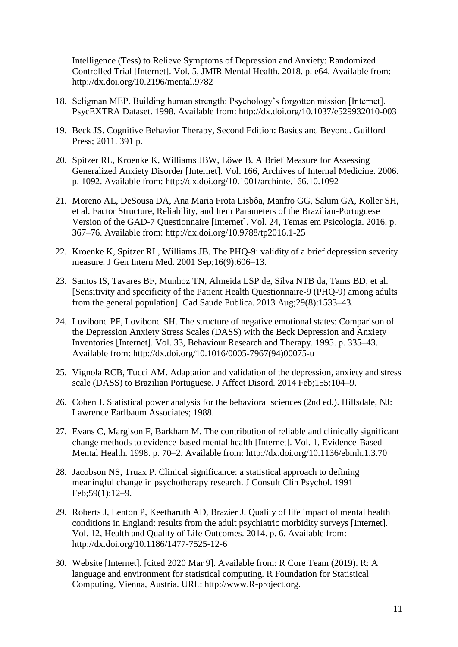[Intelligence \(Tess\) to Relieve Symptoms of Depression and Anxiety: Randomized](http://paperpile.com/b/rjTfzQ/zBGgB)  [Controlled Trial \[Internet\]. Vol. 5, JMIR Mental Health. 2018. p. e64. Available from:](http://paperpile.com/b/rjTfzQ/zBGgB)  <http://dx.doi.org/10.2196/mental.9782>

- 18. [Seligman MEP. Building human strength: Psychology's forgotten mission \[Internet\].](http://paperpile.com/b/rjTfzQ/xps6t)  [PsycEXTRA Dataset. 1998. Available from:](http://paperpile.com/b/rjTfzQ/xps6t) <http://dx.doi.org/10.1037/e529932010-003>
- 19. [Beck JS. Cognitive Behavior Therapy, Second Edition: Basics and Beyond. Guilford](http://paperpile.com/b/rjTfzQ/vuFMr)  [Press; 2011. 391 p.](http://paperpile.com/b/rjTfzQ/vuFMr)
- 20. [Spitzer RL, Kroenke K, Williams JBW, Löwe B. A Brief Measure for Assessing](http://paperpile.com/b/rjTfzQ/IDecf)  [Generalized Anxiety Disorder \[Internet\]. Vol. 166, Archives of Internal Medicine. 2006.](http://paperpile.com/b/rjTfzQ/IDecf)  [p. 1092. Available from: http://dx.doi.org/10.1001/archinte.166.10.1092](http://paperpile.com/b/rjTfzQ/IDecf)
- 21. [Moreno AL, DeSousa DA, Ana Maria Frota Lisbôa, Manfro GG, Salum GA, Koller SH,](http://paperpile.com/b/rjTfzQ/7OeG)  [et al. Factor Structure, Reliability, and Item Parameters of the Brazilian-Portuguese](http://paperpile.com/b/rjTfzQ/7OeG)  [Version of the GAD-7 Questionnaire \[Internet\]. Vol. 24, Temas em Psicologia. 2016. p.](http://paperpile.com/b/rjTfzQ/7OeG)  [367–76. Available from:](http://paperpile.com/b/rjTfzQ/7OeG) <http://dx.doi.org/10.9788/tp2016.1-25>
- 22. [Kroenke K, Spitzer RL, Williams JB. The PHQ-9: validity of a brief depression severity](http://paperpile.com/b/rjTfzQ/aAE4W)  [measure. J Gen Intern Med. 2001 Sep;16\(9\):606–13.](http://paperpile.com/b/rjTfzQ/aAE4W)
- 23. [Santos IS, Tavares BF, Munhoz TN, Almeida LSP de, Silva NTB da, Tams](http://paperpile.com/b/rjTfzQ/0Qr9) BD, et al. [\[Sensitivity and specificity of the Patient Health Questionnaire-9 \(PHQ-9\) among adults](http://paperpile.com/b/rjTfzQ/0Qr9)  [from the general population\]. Cad Saude Publica. 2013 Aug;29\(8\):1533–43.](http://paperpile.com/b/rjTfzQ/0Qr9)
- 24. [Lovibond PF, Lovibond SH. The structure of negative emotional states: Comparison of](http://paperpile.com/b/rjTfzQ/E09tp)  [the Depression Anxiety Stress Scales \(DASS\) with the Beck Depression and Anxiety](http://paperpile.com/b/rjTfzQ/E09tp)  [Inventories \[Internet\]. Vol. 33, Behaviour Research and Therapy. 1995. p. 335–43.](http://paperpile.com/b/rjTfzQ/E09tp)  [Available from:](http://paperpile.com/b/rjTfzQ/E09tp) [http://dx.doi.org/10.1016/0005-7967\(94\)00075-u](http://dx.doi.org/10.1016/0005-7967(94)00075-u)
- 25. [Vignola RCB, Tucci AM. Adaptation and validation of the depression, anxiety and stress](http://paperpile.com/b/rjTfzQ/eThe)  [scale \(DASS\) to Brazilian Portuguese. J Affect Disord. 2014 Feb;155:104–9.](http://paperpile.com/b/rjTfzQ/eThe)
- 26. [Cohen J. Statistical power analysis for the behavioral sciences \(2nd ed.\). Hillsdale, NJ:](http://paperpile.com/b/rjTfzQ/YE7WA)  [Lawrence Earlbaum Associates; 1988.](http://paperpile.com/b/rjTfzQ/YE7WA)
- 27. [Evans C, Margison F, Barkham M. The contribution of reliable and clinically significant](http://paperpile.com/b/rjTfzQ/YBve)  [change methods to evidence-based mental health \[Internet\]. Vol. 1, Evidence-Based](http://paperpile.com/b/rjTfzQ/YBve)  [Mental Health. 1998. p. 70–2. Available from: http://dx.doi.org/10.1136/ebmh.1.3.70](http://paperpile.com/b/rjTfzQ/YBve)
- 28. [Jacobson NS, Truax P. Clinical significance: a statistical approach to defining](http://paperpile.com/b/rjTfzQ/plET)  [meaningful change in psychotherapy research. J Consult Clin Psychol. 1991](http://paperpile.com/b/rjTfzQ/plET)  [Feb;59\(1\):12–9.](http://paperpile.com/b/rjTfzQ/plET)
- 29. [Roberts J, Lenton P, Keetharuth AD, Brazier J. Quality of life impact of mental health](http://paperpile.com/b/rjTfzQ/l1j1y)  conditions in England: results [from the adult psychiatric morbidity surveys \[Internet\].](http://paperpile.com/b/rjTfzQ/l1j1y)  [Vol. 12, Health and Quality of Life Outcomes. 2014. p. 6. Available from:](http://paperpile.com/b/rjTfzQ/l1j1y)  <http://dx.doi.org/10.1186/1477-7525-12-6>
- 30. [Website \[Internet\]. \[cited 2020 Mar 9\]. Available from: R Core Team \(2019\). R: A](http://paperpile.com/b/rjTfzQ/SAieA)  [language and environment for statistical computing. R Foundation for Statistical](about:blank)  [Computing, Vienna, Austria. URL: http://www.R-project.org.](about:blank)